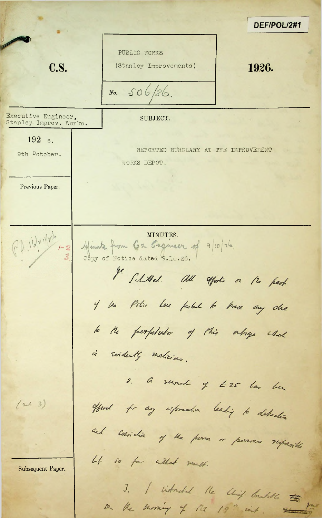DEF/POL/2#1 PUBLIC WORKS **C.S.** (Stanley Improvements) 1926.  $506/26$  $No.$ Executive Engineer,<br>Stanley Improv. Works. SUBJECT.  $192\,6.$ REPORTED BURGLARY AT THE IMPROVEMENT 9th October. WORKS DEPOT. Previous Paper. MINUTES.  $\int \int d^4x$ Minute from Cox. Engineer of 9/10/26. Copy of Notice dated 9.10.26. I Schitted. all efforts or the part of the Pitie Lore factul to trace any che to the perpetutor of this outrage whole is Evidently melicians. 2. a verved of E25 has been offered for any information leading to detection  $(\approx 3)$ and considér y va perm or persons responsible  $44$ so far without mant. Subsequent Paper. 3. I introduct the Unit brukette the on the morning of M2 19" wit.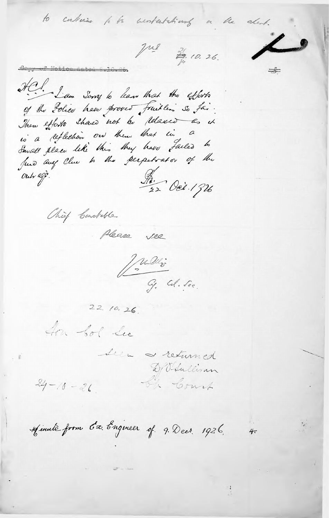Copy of Notice

HCl. Law Sorry to leave that the efforts of the Police have proved fruitles so fai. is a reflection on them that in a Small place leke this they have failed to Juno any Clue to the perpetrator of the Out egg Ad. Oct. 1926

Chief Carolette

Please see

Julie G. Col. Sec.

to continue to be anniestational or the alent.

que 30. 26.

 $22.10.26.$ 

In Sol See

Seen returned D/O-Sullivan En Court

 $4<sub>7</sub>$ 

 $24 - 10 - 26$ .

Minuté from 6x Engineer of 9. Decr. 1926.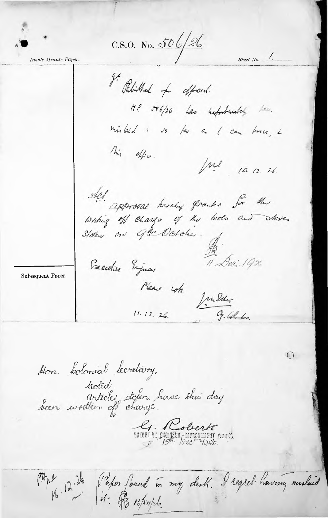$C.S.O.$  No. 506/26

Sheet  $No.$   $\angle$ .

Inside Minute Paper.

I Petithed of offrond.  $H.P.$  506/26 Las huforbundles does mistaid : vo far as I can brace i This office. Jul 10.12.26. otel. approval hereby franks for the  $11\,\mathrm{A}$ eci. 1926 Beechine Enjoyers Please sots. Julien  $11.12.26.$ 

Subsequent Paper.

Hon: Colonial lecretary, hoted.<br>Articles stolen have this day

E. Colierts

Paper found in my dest. I regret having mislaid

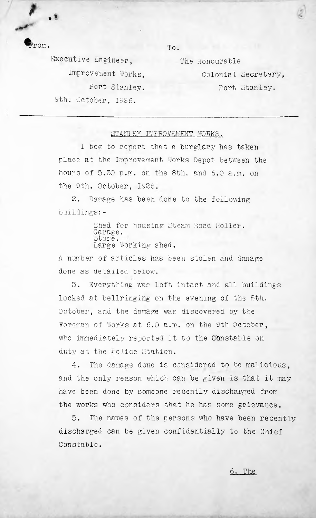From. To.

•'\*

9th October, 1926.Executive Engineer, Improvement Works, Fort Stanley.

The Honourable Colonial Secretary, Fort Stanley.

## STANLEY IMFROVEMENT WORKS.

hours of 5.30 p.m. on the 8th. and 6.0 a.m. on the 9th. October, 1926 I beg to report that a burglary has taken place at the Improvement Works Depot between the

2. Damage has been done to the following buildings:-

> Shed for housing Steam Road Roller. Garage. Large Working shed.

A number of articles has been stolen and damage done as detailed below.

3. Everything was left intact and all buildings locked at bellringing on the evening of the Sth. October, and the damage was discovered by the who immediately reported it to the Constable on duty at the rolice Station. Foreman of Works at 6.0 a.m. on the 9th October,

4. The damage done is considered to be malicious, and the only reason which can be given is that it may have been done by someone recently discharged from the works who considers that he has some grievance.

5. Constable. The names of the persons who have been recently discharged can be given confidentially to the Chief

6. The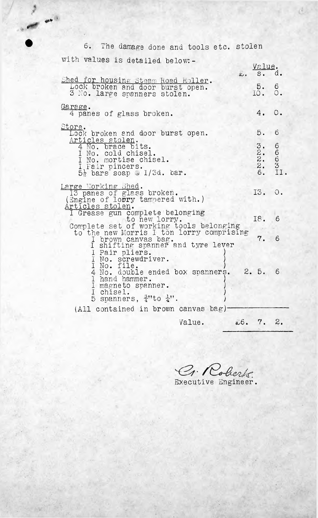6. The damage done and tools etc. stolen with values is detailed below: - Value.s. d. .. Shed for housing Steam Road Roller.<br>Lock broken and door burst open. 5. 6 3 No. large spanners stolen. 10. 0.  $\frac{\text{Garge}}{4}$  panes of glass broken. 4. 0. Store. 5. <sup>6</sup> Lock broken and door burst open. Articles stolen.<br>4 No. brace bits. 6 3. 6 <sup>I</sup> No. cold chisel. 2. <sup>I</sup> No. mortise chisel. 2. 6 Fair pincers. 3 2. 6. II.  $5\frac{1}{2}$  bars soap  $\omega$  1/3d. bar. Large Working Shed.<br>13 panes of glass broken. 13. 0. (Engine of lo $\overline{\mathtt{or}}$ ry tampered with.) Articles stolen. <sup>I</sup> Grease gun complete belonging 18. 6 to new lorry. Complete set of working tools belonging to the new Morris <sup>I</sup> ton lorry comprising 7. 6 <sup>I</sup> brown canvas bag. <sup>I</sup> shifting spanner and tyre lever I Pair pliers. <sup>I</sup> No. screwdriver. ) 1 No. file. ) 4 No. double ended box snanners. 2. 5. 6 <sup>1</sup> hand hammer. ) I magneto spanner. I chisel. 5 spanners,  $\frac{3}{4}$ "to  $\frac{1}{4}$ ". (All contained in brown canvas bag)-Value. ab. 7. 2.

t

 $\mathcal{L}^{\otimes}$ 

;.a

 $\mathcal{C}_1$ . oberts Executive Engineer.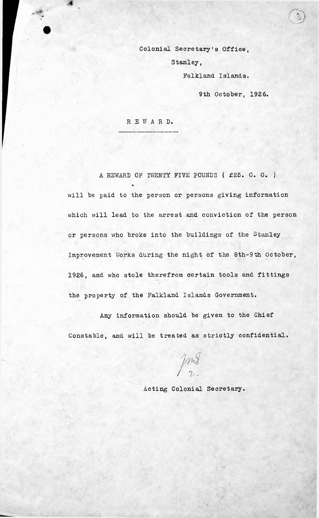Colonial Secretary's Office, Stanley, Falkland. Islands.

9th October, 1926.

REWARD.

馮

A REWARD OF TWENTY FIVE POUNDS ( £25. 0. 0. ) will be paid to the person or persons giving information which will lead to the arrest and conviction of the person Improvement Works during the night of the 8th-9th October, 1926, and who stole therefrom certain tools and fittings the property of the Falkland Islands Government. or persons who broke into the buildings of the Stanley

Any information should be given to the Chief Constable, and will be treated as strictly confidential.

 $\frac{1}{2}$ 

Acting Colonial Secretary.